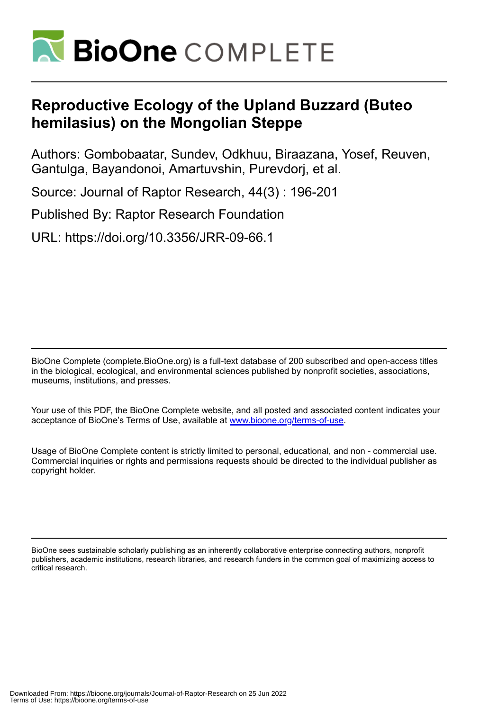

# **Reproductive Ecology of the Upland Buzzard (Buteo hemilasius) on the Mongolian Steppe**

Authors: Gombobaatar, Sundev, Odkhuu, Biraazana, Yosef, Reuven, Gantulga, Bayandonoi, Amartuvshin, Purevdorj, et al.

Source: Journal of Raptor Research, 44(3) : 196-201

Published By: Raptor Research Foundation

URL: https://doi.org/10.3356/JRR-09-66.1

BioOne Complete (complete.BioOne.org) is a full-text database of 200 subscribed and open-access titles in the biological, ecological, and environmental sciences published by nonprofit societies, associations, museums, institutions, and presses.

Your use of this PDF, the BioOne Complete website, and all posted and associated content indicates your acceptance of BioOne's Terms of Use, available at www.bioone.org/terms-of-use.

Usage of BioOne Complete content is strictly limited to personal, educational, and non - commercial use. Commercial inquiries or rights and permissions requests should be directed to the individual publisher as copyright holder.

BioOne sees sustainable scholarly publishing as an inherently collaborative enterprise connecting authors, nonprofit publishers, academic institutions, research libraries, and research funders in the common goal of maximizing access to critical research.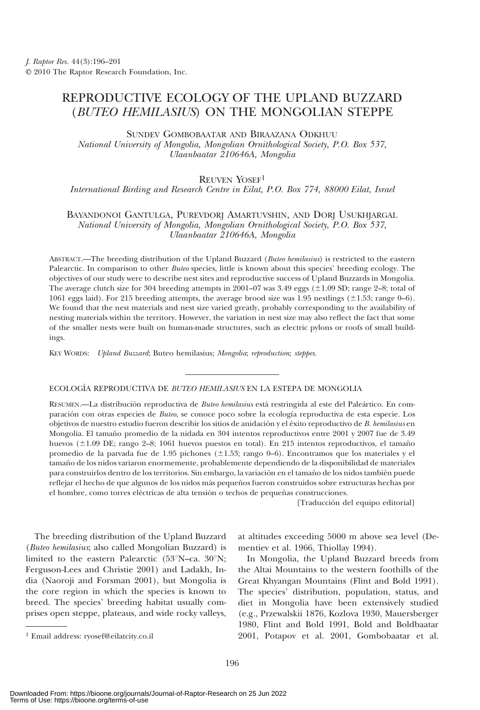## REPRODUCTIVE ECOLOGY OF THE UPLAND BUZZARD (BUTEO HEMILASIUS) ON THE MONGOLIAN STEPPE

SUNDEV GOMBOBAATAR AND BIRAAZANA ODKHUU

National University of Mongolia, Mongolian Ornithological Society, P.O. Box 537, Ulaanbaatar 210646A, Mongolia

#### REUVEN YOSEF1

International Birding and Research Centre in Eilat, P.O. Box 774, 88000 Eilat, Israel

### BAYANDONOI GANTULGA, PUREVDORJ AMARTUVSHIN, AND DORJ USUKHJARGAL National University of Mongolia, Mongolian Ornithological Society, P.O. Box 537, Ulaanbaatar 210646A, Mongolia

ABSTRACT.—The breeding distribution of the Upland Buzzard (Buteo hemilasius) is restricted to the eastern Palearctic. In comparison to other Buteo species, little is known about this species' breeding ecology. The objectives of our study were to describe nest sites and reproductive success of Upland Buzzards in Mongolia. The average clutch size for 304 breeding attempts in 2001–07 was 3.49 eggs ( $\pm$ 1.09 SD; range 2–8; total of 1061 eggs laid). For 215 breeding attempts, the average brood size was 1.95 nestlings  $(\pm 1.53;$  range 0–6). We found that the nest materials and nest size varied greatly, probably corresponding to the availability of nesting materials within the territory. However, the variation in nest size may also reflect the fact that some of the smaller nests were built on human-made structures, such as electric pylons or roofs of small buildings.

KEY WORDS: Upland Buzzard; Buteo hemilasius; Mongolia; reproduction; steppes.

#### ECOLOGÍA REPRODUCTIVA DE BUTEO HEMILASIUS EN LA ESTEPA DE MONGOLIA

RESUMEN.—La distribución reproductiva de Buteo hemilasius está restringida al este del Paleártico. En comparación con otras especies de *Buteo*, se conoce poco sobre la ecología reproductiva de esta especie. Los objetivos de nuestro estudio fueron describir los sitios de anidación y el éxito reproductivo de B. hemilasius en Mongolia. El tamaño promedio de la nidada en 304 intentos reproductivos entre 2001 y 2007 fue de 3.49 huevos (±1.09 DE; rango 2–8; 1061 huevos puestos en total). En 215 intentos reproductivos, el tamaño promedio de la parvada fue de 1.95 pichones ( $\pm$ 1.53; rango 0–6). Encontramos que los materiales y el tamaño de los nidos variaron enormemente, probablemente dependiendo de la disponibilidad de materiales para construirlos dentro de los territorios. Sin embargo, la variación en el tamaño de los nidos también puede reflejar el hecho de que algunos de los nidos más pequeños fueron construidos sobre estructuras hechas por el hombre, como torres eléctricas de alta tensión o techos de pequeñas construcciones.

[Traducción del equipo editorial]

The breeding distribution of the Upland Buzzard (Buteo hemilasius; also called Mongolian Buzzard) is limited to the eastern Palearctic ( $53^{\circ}$ N–ca.  $30^{\circ}$ N; Ferguson-Lees and Christie 2001) and Ladakh, India (Naoroji and Forsman 2001), but Mongolia is the core region in which the species is known to breed. The species' breeding habitat usually comprises open steppe, plateaus, and wide rocky valleys, at altitudes exceeding 5000 m above sea level (Dementiev et al. 1966, Thiollay 1994). In Mongolia, the Upland Buzzard breeds from

the Altai Mountains to the western foothills of the Great Khyangan Mountains (Flint and Bold 1991). The species' distribution, population, status, and diet in Mongolia have been extensively studied (e.g., Przewalskii 1876, Kozlova 1930, Mauersberger 1980, Flint and Bold 1991, Bold and Boldbaatar <sup>1</sup> Email address: ryosef@eilatcity.co.il 2001, Potapov et al. 2001, Gombobaatar et al.

Downloaded From: https://bioone.org/journals/Journal-of-Raptor-Research on 25 Jun 2022 Terms of Use: https://bioone.org/terms-of-use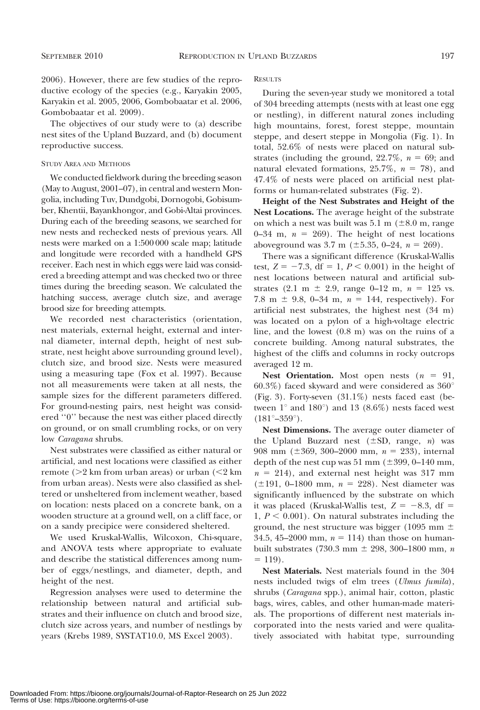2006). However, there are few studies of the reproductive ecology of the species (e.g., Karyakin 2005, Karyakin et al. 2005, 2006, Gombobaatar et al. 2006, Gombobaatar et al. 2009).

The objectives of our study were to (a) describe nest sites of the Upland Buzzard, and (b) document reproductive success.

#### STUDY AREA AND METHODS

We conducted fieldwork during the breeding season (May to August, 2001–07), in central and western Mongolia, including Tuv, Dundgobi, Dornogobi, Gobisumber, Khentii, Bayankhongor, and Gobi-Altai provinces. During each of the breeding seasons, we searched for new nests and rechecked nests of previous years. All nests were marked on a 1:500 000 scale map; latitude and longitude were recorded with a handheld GPS receiver. Each nest in which eggs were laid was considered a breeding attempt and was checked two or three times during the breeding season. We calculated the hatching success, average clutch size, and average brood size for breeding attempts.

We recorded nest characteristics (orientation, nest materials, external height, external and internal diameter, internal depth, height of nest substrate, nest height above surrounding ground level), clutch size, and brood size. Nests were measured using a measuring tape (Fox et al. 1997). Because not all measurements were taken at all nests, the sample sizes for the different parameters differed. For ground-nesting pairs, nest height was considered ''0'' because the nest was either placed directly on ground, or on small crumbling rocks, or on very low Caragana shrubs.

Nest substrates were classified as either natural or artificial, and nest locations were classified as either remote  $(>2 \text{ km from urban areas})$  or urban  $(<2 \text{ km}$ from urban areas). Nests were also classified as sheltered or unsheltered from inclement weather, based on location: nests placed on a concrete bank, on a wooden structure at a ground well, on a cliff face, or on a sandy precipice were considered sheltered.

We used Kruskal-Wallis, Wilcoxon, Chi-square, and ANOVA tests where appropriate to evaluate and describe the statistical differences among number of eggs/nestlings, and diameter, depth, and height of the nest.

Regression analyses were used to determine the relationship between natural and artificial substrates and their influence on clutch and brood size, clutch size across years, and number of nestlings by years (Krebs 1989, SYSTAT10.0, MS Excel 2003).

**RESULTS** 

During the seven-year study we monitored a total of 304 breeding attempts (nests with at least one egg or nestling), in different natural zones including high mountains, forest, forest steppe, mountain steppe, and desert steppe in Mongolia (Fig. 1). In total, 52.6% of nests were placed on natural substrates (including the ground,  $22.7\%$ ,  $n = 69$ ; and natural elevated formations,  $25.7\%$ ,  $n = 78$ ), and 47.4% of nests were placed on artificial nest platforms or human-related substrates (Fig. 2).

Height of the Nest Substrates and Height of the Nest Locations. The average height of the substrate on which a nest was built was  $5.1 \text{ m}$  ( $\pm 8.0 \text{ m}$ , range 0–34 m,  $n = 269$ ). The height of nest locations aboveground was 3.7 m ( $\pm$ 5.35, 0–24,  $n = 269$ ).

There was a significant difference (Kruskal-Wallis test,  $Z = -7.3$ , df = 1,  $P < 0.001$ ) in the height of nest locations between natural and artificial substrates (2.1 m  $\pm$  2.9, range 0–12 m,  $n = 125$  vs. 7.8 m  $\pm$  9.8, 0–34 m,  $n = 144$ , respectively). For artificial nest substrates, the highest nest (34 m) was located on a pylon of a high-voltage electric line, and the lowest (0.8 m) was on the ruins of a concrete building. Among natural substrates, the highest of the cliffs and columns in rocky outcrops averaged 12 m.

Nest Orientation. Most open nests  $(n = 91,$ 60.3%) faced skyward and were considered as  $360^{\circ}$ (Fig. 3). Forty-seven (31.1%) nests faced east (between  $1^{\circ}$  and  $180^{\circ}$ ) and  $13$  (8.6%) nests faced west  $(181^{\circ}-359^{\circ})$ .

Nest Dimensions. The average outer diameter of the Upland Buzzard nest  $(\pm SD, \text{range}, n)$  was 908 mm ( $\pm 369$ , 300–2000 mm,  $n = 233$ ), internal depth of the nest cup was  $51 \text{ mm}$  ( $\pm 399, 0$ –140 mm,  $n = 214$ ), and external nest height was 317 mm ( $\pm 191$ , 0–1800 mm,  $n = 228$ ). Nest diameter was significantly influenced by the substrate on which it was placed (Kruskal-Wallis test,  $Z = -8.3$ , df = 1,  $P < 0.001$ ). On natural substrates including the ground, the nest structure was bigger (1095 mm  $\pm$ 34.5, 45–2000 mm,  $n = 114$ ) than those on humanbuilt substrates (730.3 mm  $\pm$  298, 300–1800 mm, n  $= 119$ .

Nest Materials. Nest materials found in the 304 nests included twigs of elm trees (Ulmus fumila), shrubs (Caragana spp.), animal hair, cotton, plastic bags, wires, cables, and other human-made materials. The proportions of different nest materials incorporated into the nests varied and were qualitatively associated with habitat type, surrounding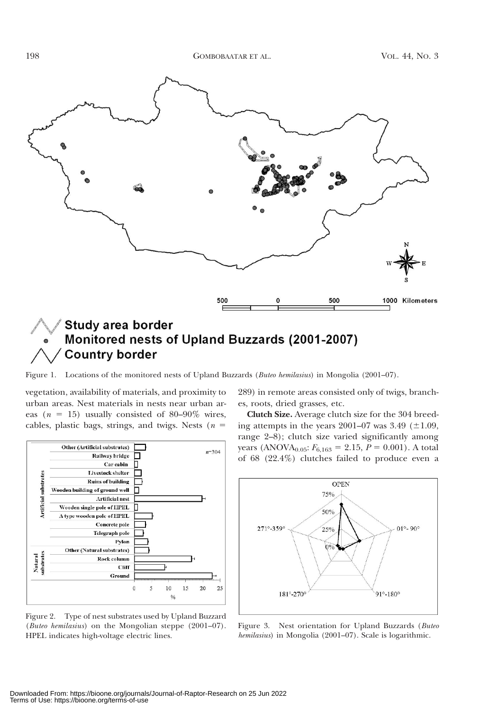

**Country border** 

Figure 1. Locations of the monitored nests of Upland Buzzards (Buteo hemilasius) in Mongolia (2001–07).

vegetation, availability of materials, and proximity to urban areas. Nest materials in nests near urban areas ( $n = 15$ ) usually consisted of 80–90% wires, cables, plastic bags, strings, and twigs. Nests ( $n =$ 



Figure 2. Type of nest substrates used by Upland Buzzard (Buteo hemilasius) on the Mongolian steppe (2001–07). HPEL indicates high-voltage electric lines.

289) in remote areas consisted only of twigs, branches, roots, dried grasses, etc.

Clutch Size. Average clutch size for the 304 breeding attempts in the years  $2001-07$  was  $3.49$  ( $\pm 1.09$ , range 2–8); clutch size varied significantly among years (ANOVA<sub>0.05</sub>:  $F_{6,163} = 2.15$ ,  $P = 0.001$ ). A total of 68 (22.4%) clutches failed to produce even a



Figure 3. Nest orientation for Upland Buzzards (Buteo hemilasius) in Mongolia (2001–07). Scale is logarithmic.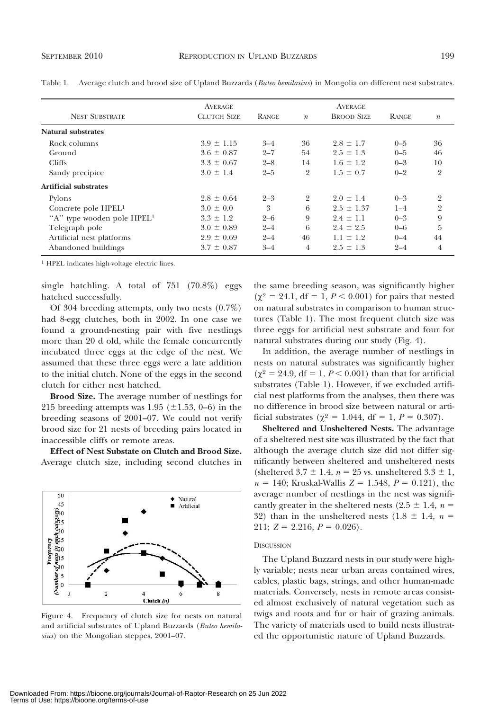| AVERAGE<br><b>CLUTCH SIZE</b> | <b>RANGE</b> | $\boldsymbol{n}$ | <b>AVERAGE</b><br><b>BROOD SIZE</b> | <b>RANGE</b> | $\boldsymbol{n}$ |
|-------------------------------|--------------|------------------|-------------------------------------|--------------|------------------|
|                               |              |                  |                                     |              |                  |
| $3.9 \pm 1.15$                | $3 - 4$      | 36               | $2.8 \pm 1.7$                       | $0 - 5$      | 36               |
| $3.6 \pm 0.87$                | $2 - 7$      | 54               | $2.5 \pm 1.3$                       | $0 - 5$      | 46               |
| $3.3 \pm 0.67$                | $2 - 8$      | 14               | $1.6 \pm 1.2$                       | $0 - 3$      | 10               |
| $3.0 \pm 1.4$                 | $2 - 5$      | $\overline{2}$   | $1.5 \pm 0.7$                       | $0 - 2$      | $\overline{2}$   |
|                               |              |                  |                                     |              |                  |
| $2.8 \pm 0.64$                | $2 - 3$      | $\overline{2}$   | $2.0 \pm 1.4$                       | $0 - 3$      | $\overline{2}$   |
| $3.0 \pm 0.0$                 | 3            | 6                | $2.5 \pm 1.37$                      | $1 - 4$      | $\overline{2}$   |
| $3.3 \pm 1.2$                 | $2 - 6$      | 9                | $2.4 \pm 1.1$                       | $0 - 3$      | 9                |
| $3.0 \pm 0.89$                | $2 - 4$      | 6                | $2.4 \pm 2.5$                       | $0 - 6$      | 5                |
| $2.9 \pm 0.69$                | $2 - 4$      | 46               | $1.1 \pm 1.2$                       | $0 - 4$      | 44               |
| $3.7 \pm 0.87$                | $3 - 4$      | $\overline{4}$   | $2.5 \pm 1.3$                       | $2 - 4$      | 4                |
|                               |              |                  |                                     |              |                  |

Table 1. Average clutch and brood size of Upland Buzzards (Buteo hemilasius) in Mongolia on different nest substrates.

1 HPEL indicates high-voltage electric lines.

single hatchling. A total of 751 (70.8%) eggs hatched successfully.

Of 304 breeding attempts, only two nests (0.7%) had 8-egg clutches, both in 2002. In one case we found a ground-nesting pair with five nestlings more than 20 d old, while the female concurrently incubated three eggs at the edge of the nest. We assumed that these three eggs were a late addition to the initial clutch. None of the eggs in the second clutch for either nest hatched.

Brood Size. The average number of nestlings for 215 breeding attempts was 1.95 ( $\pm$ 1.53, 0–6) in the breeding seasons of 2001–07. We could not verify brood size for 21 nests of breeding pairs located in inaccessible cliffs or remote areas.

Effect of Nest Substate on Clutch and Brood Size. Average clutch size, including second clutches in



Figure 4. Frequency of clutch size for nests on natural and artificial substrates of Upland Buzzards (Buteo hemilasius) on the Mongolian steppes, 2001-07.

the same breeding season, was significantly higher  $(\chi^2 = 24.1, df = 1, P < 0.001)$  for pairs that nested on natural substrates in comparison to human structures (Table 1). The most frequent clutch size was three eggs for artificial nest substrate and four for natural substrates during our study (Fig. 4).

In addition, the average number of nestlings in nests on natural substrates was significantly higher  $(\gamma^2 = 24.9, df = 1, P < 0.001)$  than that for artificial substrates (Table 1). However, if we excluded artificial nest platforms from the analyses, then there was no difference in brood size between natural or artificial substrates ( $\chi^2 = 1.044$ , df = 1, P = 0.307).

Sheltered and Unsheltered Nests. The advantage of a sheltered nest site was illustrated by the fact that although the average clutch size did not differ significantly between sheltered and unsheltered nests (sheltered 3.7  $\pm$  1.4, n = 25 vs. unsheltered 3.3  $\pm$  1,  $n = 140$ ; Kruskal-Wallis  $Z = 1.548$ ,  $P = 0.121$ ), the average number of nestlings in the nest was significantly greater in the sheltered nests (2.5  $\pm$  1.4, n = 32) than in the unsheltered nests (1.8  $\pm$  1.4, n = 211;  $Z = 2.216$ ,  $P = 0.026$ ).

#### **DISCUSSION**

The Upland Buzzard nests in our study were highly variable; nests near urban areas contained wires, cables, plastic bags, strings, and other human-made materials. Conversely, nests in remote areas consisted almost exclusively of natural vegetation such as twigs and roots and fur or hair of grazing animals. The variety of materials used to build nests illustrated the opportunistic nature of Upland Buzzards.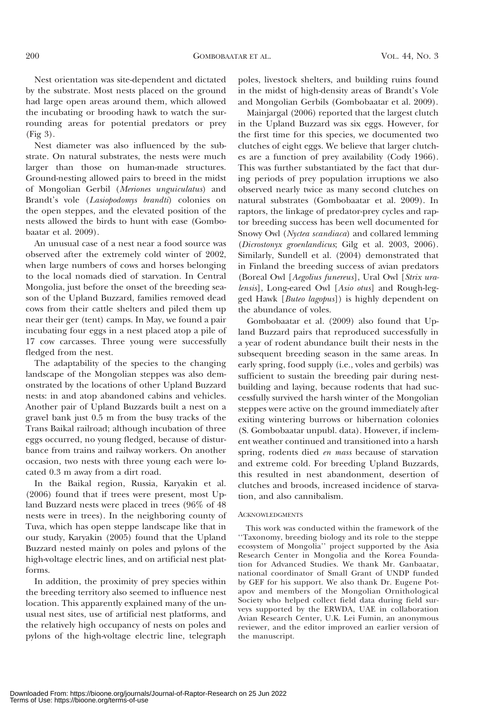Nest orientation was site-dependent and dictated by the substrate. Most nests placed on the ground had large open areas around them, which allowed the incubating or brooding hawk to watch the surrounding areas for potential predators or prey (Fig 3).

Nest diameter was also influenced by the substrate. On natural substrates, the nests were much larger than those on human-made structures. Ground-nesting allowed pairs to breed in the midst of Mongolian Gerbil (Meriones unguiculatus) and Brandt's vole (Lasiopodomys brandti) colonies on the open steppes, and the elevated position of the nests allowed the birds to hunt with ease (Gombobaatar et al. 2009).

An unusual case of a nest near a food source was observed after the extremely cold winter of 2002, when large numbers of cows and horses belonging to the local nomads died of starvation. In Central Mongolia, just before the onset of the breeding season of the Upland Buzzard, families removed dead cows from their cattle shelters and piled them up near their ger (tent) camps. In May, we found a pair incubating four eggs in a nest placed atop a pile of 17 cow carcasses. Three young were successfully fledged from the nest.

The adaptability of the species to the changing landscape of the Mongolian steppes was also demonstrated by the locations of other Upland Buzzard nests: in and atop abandoned cabins and vehicles. Another pair of Upland Buzzards built a nest on a gravel bank just 0.5 m from the busy tracks of the Trans Baikal railroad; although incubation of three eggs occurred, no young fledged, because of disturbance from trains and railway workers. On another occasion, two nests with three young each were located 0.3 m away from a dirt road.

In the Baikal region, Russia, Karyakin et al. (2006) found that if trees were present, most Upland Buzzard nests were placed in trees (96% of 48 nests were in trees). In the neighboring county of Tuva, which has open steppe landscape like that in our study, Karyakin (2005) found that the Upland Buzzard nested mainly on poles and pylons of the high-voltage electric lines, and on artificial nest platforms.

In addition, the proximity of prey species within the breeding territory also seemed to influence nest location. This apparently explained many of the unusual nest sites, use of artificial nest platforms, and the relatively high occupancy of nests on poles and pylons of the high-voltage electric line, telegraph

poles, livestock shelters, and building ruins found in the midst of high-density areas of Brandt's Vole and Mongolian Gerbils (Gombobaatar et al. 2009).

Mainjargal (2006) reported that the largest clutch in the Upland Buzzard was six eggs. However, for the first time for this species, we documented two clutches of eight eggs. We believe that larger clutches are a function of prey availability (Cody 1966). This was further substantiated by the fact that during periods of prey population irruptions we also observed nearly twice as many second clutches on natural substrates (Gombobaatar et al. 2009). In raptors, the linkage of predator-prey cycles and raptor breeding success has been well documented for Snowy Owl (Nyctea scandiaca) and collared lemming (Dicrostonyx groenlandicus; Gilg et al. 2003, 2006). Similarly, Sundell et al. (2004) demonstrated that in Finland the breeding success of avian predators (Boreal Owl [Aegolius funereus], Ural Owl [Strix uralensis], Long-eared Owl [Asio otus] and Rough-legged Hawk [Buteo lagopus]) is highly dependent on the abundance of voles.

Gombobaatar et al. (2009) also found that Upland Buzzard pairs that reproduced successfully in a year of rodent abundance built their nests in the subsequent breeding season in the same areas. In early spring, food supply (i.e., voles and gerbils) was sufficient to sustain the breeding pair during nestbuilding and laying, because rodents that had successfully survived the harsh winter of the Mongolian steppes were active on the ground immediately after exiting wintering burrows or hibernation colonies (S. Gombobaatar unpubl. data). However, if inclement weather continued and transitioned into a harsh spring, rodents died en mass because of starvation and extreme cold. For breeding Upland Buzzards, this resulted in nest abandonment, desertion of clutches and broods, increased incidence of starvation, and also cannibalism.

#### ACKNOWLEDGMENTS

This work was conducted within the framework of the ''Taxonomy, breeding biology and its role to the steppe ecosystem of Mongolia'' project supported by the Asia Research Center in Mongolia and the Korea Foundation for Advanced Studies. We thank Mr. Ganbaatar, national coordinator of Small Grant of UNDP funded by GEF for his support. We also thank Dr. Eugene Potapov and members of the Mongolian Ornithological Society who helped collect field data during field surveys supported by the ERWDA, UAE in collaboration Avian Research Center, U.K. Lei Fumin, an anonymous reviewer, and the editor improved an earlier version of the manuscript.